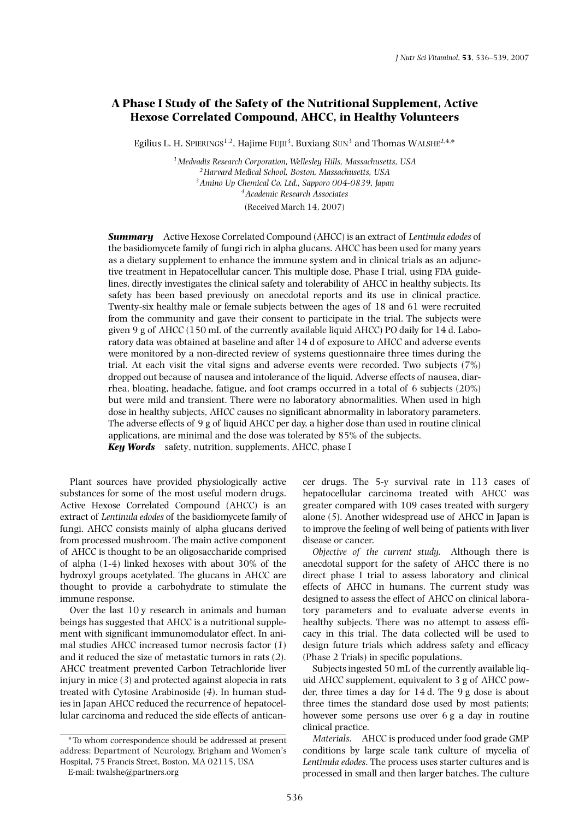# **A Phase I Study of the Safety of the Nutritional Supplement, Active Hexose Correlated Compound, AHCC, in Healthy Volunteers**

Egilius L. H. SPIERINGS<sup>1,2</sup>, Hajime FUJII<sup>3</sup>, Buxiang SUN<sup>3</sup> and Thomas WALSHE<sup>2,4,\*</sup>

*1Medvadis Research Corporation, Wellesley Hills, Massachusetts, USA 2Harvard Medical School, Boston, Massachusetts, USA 3Amino Up Chemical Co. Ltd., Sapporo 004-0839, Japan 4Academic Research Associates* (Received March 14, 2007)

*Summary* Active Hexose Correlated Compound (AHCC) is an extract of *Lentinula edodes* of the basidiomycete family of fungi rich in alpha glucans. AHCC has been used for many years as a dietary supplement to enhance the immune system and in clinical trials as an adjunctive treatment in Hepatocellular cancer. This multiple dose, Phase I trial, using FDA guidelines, directly investigates the clinical safety and tolerability of AHCC in healthy subjects. Its safety has been based previously on anecdotal reports and its use in clinical practice. Twenty-six healthy male or female subjects between the ages of 18 and 61 were recruited from the community and gave their consent to participate in the trial. The subjects were given 9 g of AHCC (150 mL of the currently available liquid AHCC) PO daily for  $14$  d. Laboratory data was obtained at baseline and after 14 d of exposure to AHCC and adverse events were monitored by a non-directed review of systems questionnaire three times during the trial. At each visit the vital signs and adverse events were recorded. Two subjects (7%) dropped out because of nausea and intolerance of the liquid. Adverse effects of nausea, diarrhea, bloating, headache, fatigue, and foot cramps occurred in a total of 6 subjects (20%) but were mild and transient. There were no laboratory abnormalities. When used in high dose in healthy subjects, AHCC causes no significant abnormality in laboratory parameters. The adverse effects of 9 g of liquid AHCC per day, a higher dose than used in routine clinical applications, are minimal and the dose was tolerated by 85% of the subjects.

*Key Words* safety, nutrition, supplements, AHCC, phase I

Plant sources have provided physiologically active substances for some of the most useful modern drugs. Active Hexose Correlated Compound (AHCC) is an extract of *Lentinula edodes* of the basidiomycete family of fungi. AHCC consists mainly of alpha glucans derived from processed mushroom. The main active component of AHCC is thought to be an oligosaccharide comprised of alpha (1-4) linked hexoses with about 30% of the hydroxyl groups acetylated. The glucans in AHCC are thought to provide a carbohydrate to stimulate the immune response.

Over the last 10 y research in animals and human beings has suggested that AHCC is a nutritional supplement with significant immunomodulator effect. In animal studies AHCC increased tumor necrosis factor (*1*) and it reduced the size of metastatic tumors in rats (*2*). AHCC treatment prevented Carbon Tetrachloride liver injury in mice (*3*) and protected against alopecia in rats treated with Cytosine Arabinoside (*4*). In human studies in Japan AHCC reduced the recurrence of hepatocellular carcinoma and reduced the side effects of anticancer drugs. The 5-y survival rate in 113 cases of hepatocellular carcinoma treated with AHCC was greater compared with 109 cases treated with surgery alone (*5*). Another widespread use of AHCC in Japan is to improve the feeling of well being of patients with liver disease or cancer.

*Objective of the current study.* Although there is anecdotal support for the safety of AHCC there is no direct phase I trial to assess laboratory and clinical effects of AHCC in humans. The current study was designed to assess the effect of AHCC on clinical laboratory parameters and to evaluate adverse events in healthy subjects. There was no attempt to assess efficacy in this trial. The data collected will be used to design future trials which address safety and efficacy (Phase 2 Trials) in specific populations.

Subjects ingested 50 mL of the currently available liquid AHCC supplement, equivalent to 3 g of AHCC powder, three times a day for 14 d. The 9 g dose is about three times the standard dose used by most patients; however some persons use over 6 g a day in routine clinical practice.

*Materials.* AHCC is produced under food grade GMP conditions by large scale tank culture of mycelia of *Lentinula edodes*. The process uses starter cultures and is processed in small and then larger batches. The culture

<sup>\*</sup>To whom correspondence should be addressed at present address: Department of Neurology, Brigham and Women's Hospital, 75 Francis Street, Boston, MA 02115, USA

E-mail: twalshe@partners.org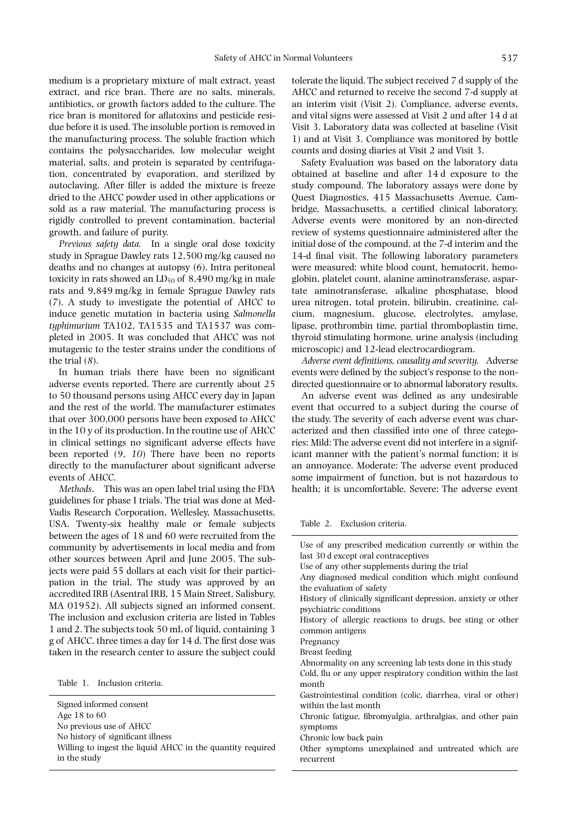medium is a proprietary mixture of malt extract, yeast extract, and rice bran. There are no salts, minerals, antibiotics, or growth factors added to the culture. The rice bran is monitored for aflatoxins and pesticide residue before it is used. The insoluble portion is removed in the manufacturing process. The soluble fraction which contains the polysaccharides, low molecular weight material, salts, and protein is separated by centrifugation, concentrated by evaporation, and sterilized by autoclaving. After filler is added the mixture is freeze dried to the AHCC powder used in other applications or sold as a raw material. The manufacturing process is rigidly controlled to prevent contamination, bacterial growth, and failure of purity.

*Previous safety data.* In a single oral dose toxicity study in Sprague Dawley rats 12,500 mg/kg caused no deaths and no changes at autopsy (*6*). Intra peritoneal toxicity in rats showed an  $LD_{50}$  of 8,490 mg/kg in male rats and 9,849 mg/kg in female Sprague Dawley rats (*7*). A study to investigate the potential of AHCC to induce genetic mutation in bacteria using *Salmonella typhimurium* TA102, TA1535 and TA1537 was completed in 2005. It was concluded that AHCC was not mutagenic to the tester strains under the conditions of the trial (*8*).

In human trials there have been no significant adverse events reported. There are currently about 25 to 50 thousand persons using AHCC every day in Japan and the rest of the world. The manufacturer estimates that over 300,000 persons have been exposed to AHCC in the 10 y of its production. In the routine use of AHCC in clinical settings no significant adverse effects have been reported (*9*, *10*) There have been no reports directly to the manufacturer about significant adverse events of AHCC.

*Methods*. This was an open label trial using the FDA guidelines for phase I trials. The trial was done at Med-Vadis Research Corporation, Wellesley, Massachusetts, USA. Twenty-six healthy male or female subjects between the ages of 18 and 60 were recruited from the community by advertisements in local media and from other sources between April and June 2005. The subjects were paid 55 dollars at each visit for their participation in the trial. The study was approved by an accredited IRB (Asentral IRB, 15 Main Street, Salisbury, MA 01952). All subjects signed an informed consent. The inclusion and exclusion criteria are listed in Tables 1 and 2. The subjects took 50 mL of liquid, containing 3 g of AHCC, three times a day for 14 d. The first dose was taken in the research center to assure the subject could

Table 1. Inclusion criteria.

Signed informed consent Age 18 to 60 No previous use of AHCC No history of significant illness

Willing to ingest the liquid AHCC in the quantity required in the study

tolerate the liquid. The subject received 7 d supply of the AHCC and returned to receive the second 7-d supply at an interim visit (Visit 2). Compliance, adverse events, and vital signs were assessed at Visit 2 and after 14 d at Visit 3. Laboratory data was collected at baseline (Visit 1) and at Visit 3. Compliance was monitored by bottle counts and dosing diaries at Visit 2 and Visit 3.

Safety Evaluation was based on the laboratory data obtained at baseline and after 14 d exposure to the study compound. The laboratory assays were done by Quest Diagnostics, 415 Massachusetts Avenue, Cambridge, Massachusetts, a certified clinical laboratory. Adverse events were monitored by an non-directed review of systems questionnaire administered after the initial dose of the compound, at the 7-d interim and the 14-d final visit. The following laboratory parameters were measured: white blood count, hematocrit, hemoglobin, platelet count, alanine aminotransferase, aspartate aminotransferase, alkaline phosphatase, blood urea nitrogen, total protein, bilirubin, creatinine, calcium, magnesium, glucose, electrolytes, amylase, lipase, prothrombin time, partial thromboplastin time, thyroid stimulating hormone, urine analysis (including microscopic) and 12-lead electrocardiogram.

*Adverse event definitions, causality and severity.* Adverse events were defined by the subject's response to the nondirected questionnaire or to abnormal laboratory results.

An adverse event was defined as any undesirable event that occurred to a subject during the course of the study. The severity of each adverse event was characterized and then classified into one of three categories: Mild: The adverse event did not interfere in a significant manner with the patient's normal function; it is an annoyance. Moderate: The adverse event produced some impairment of function, but is not hazardous to health; it is uncomfortable. Severe: The adverse event

Table 2. Exclusion criteria.

Use of any prescribed medication currently or within the last 30 d except oral contraceptives Use of any other supplements during the trial Any diagnosed medical condition which might confound the evaluation of safety

History of clinically significant depression, anxiety or other psychiatric conditions

History of allergic reactions to drugs, bee sting or other common antigens

Pregnancy

Breast feeding

Abnormality on any screening lab tests done in this study Cold, flu or any upper respiratory condition within the last month

Gastrointestinal condition (colic, diarrhea, viral or other) within the last month

Chronic fatigue, fibromyalgia, arthralgias, and other pain symptoms

Chronic low back pain

Other symptoms unexplained and untreated which are recurrent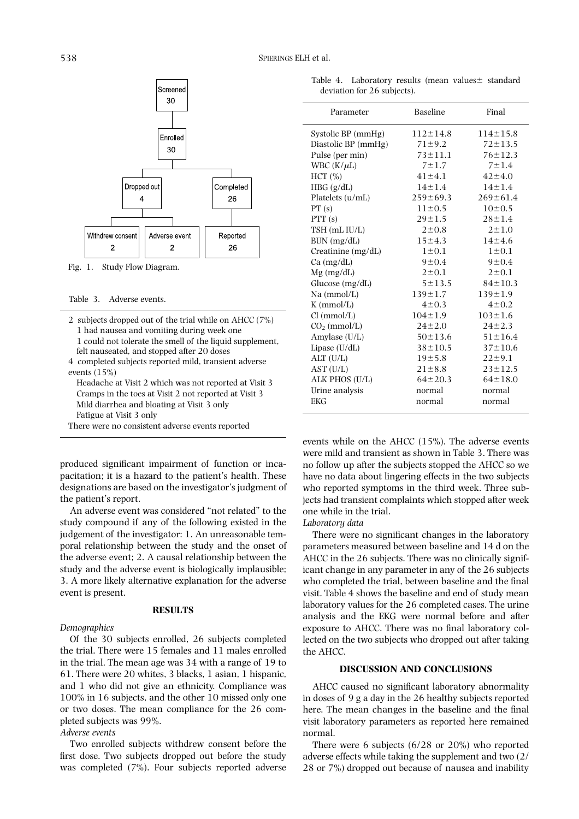

Fig. 1. Study Flow Diagram.

- 2 subjects dropped out of the trial while on AHCC (7%) 1 had nausea and vomiting during week one
- 
- 1 could not tolerate the smell of the liquid supplement, felt nauseated, and stopped after 20 doses
- 4 completed subjects reported mild, transient adverse events (15%)
	- Headache at Visit 2 which was not reported at Visit 3 Cramps in the toes at Visit 2 not reported at Visit 3 Mild diarrhea and bloating at Visit 3 only Fatigue at Visit 3 only
- There were no consistent adverse events reported

produced significant impairment of function or incapacitation; it is a hazard to the patient's health. These designations are based on the investigator's judgment of the patient's report.

An adverse event was considered "not related" to the study compound if any of the following existed in the judgement of the investigator: 1. An unreasonable temporal relationship between the study and the onset of the adverse event; 2. A causal relationship between the study and the adverse event is biologically implausible; 3. A more likely alternative explanation for the adverse event is present.

#### **RESULTS**

#### *Demographics*

Of the 30 subjects enrolled, 26 subjects completed the trial. There were 15 females and 11 males enrolled in the trial. The mean age was 34 with a range of 19 to 61. There were 20 whites, 3 blacks, 1 asian, 1 hispanic, and 1 who did not give an ethnicity. Compliance was 100% in 16 subjects, and the other 10 missed only one or two doses. The mean compliance for the 26 completed subjects was 99%.

### *Adverse events*

Two enrolled subjects withdrew consent before the first dose. Two subjects dropped out before the study was completed (7%). Four subjects reported adverse

Table 4. Laboratory results (mean values $\pm$  standard deviation for 26 subjects).

| Parameter            | <b>Baseline</b> | Final          |
|----------------------|-----------------|----------------|
| Systolic BP (mmHg)   | $112 \pm 14.8$  | $114 \pm 15.8$ |
| Diastolic BP (mmHg)  | $71 \pm 9.2$    | $72 \pm 13.5$  |
| Pulse (per min)      | $73 \pm 11.1$   | $76 \pm 12.3$  |
| WBC $(K/\mu L)$      | $7 + 1.7$       | $7 + 1.4$      |
| HCT (%)              | $41 \pm 4.1$    | $42 \pm 4.0$   |
| HBG (g/dL)           | $14 \pm 1.4$    | $14 \pm 1.4$   |
| Platelets (u/mL)     | $259 \pm 69.3$  | $269 \pm 61.4$ |
| PT(s)                | $11 \pm 0.5$    | $10\pm0.5$     |
| PTT(s)               | $29 + 1.5$      | $28 \pm 1.4$   |
| TSH (mL IU/L)        | $2 \pm 0.8$     | $2 + 1.0$      |
| BUN (mg/dL)          | $15 + 4.3$      | $14 \pm 4.6$   |
| Creatinine $(mg/dL)$ | $1\pm0.1$       | $1 \pm 0.1$    |
| $Ca$ (mg/dL)         | 9 ± 0.4         | 9 ± 0.4        |
| $Mg$ (mg/dL)         | $2 \pm 0.1$     | $2 \pm 0.1$    |
| Glucose (mg/dL)      | $5 + 13.5$      | $84 \pm 10.3$  |
| Na (mmol/L)          | $139 \pm 1.7$   | $139 \pm 1.9$  |
| $K$ (mmol/L)         | $4 \pm 0.3$     | $4 \pm 0.2$    |
| Cl (mmol/L)          | $104 \pm 1.9$   | $103 \pm 1.6$  |
| $CO2$ (mmol/L)       | $24 \pm 2.0$    | $24 \pm 2.3$   |
| Amylase (U/L)        | $50 \pm 13.6$   | $51 \pm 16.4$  |
| Lipase (U/dL)        | $38 \pm 10.5$   | $37 \pm 10.6$  |
| ALT (U/L)            | $19 + 5.8$      | $22 \pm 9.1$   |
| AST (U/L)            | $21 \pm 8.8$    | $23 \pm 12.5$  |
| ALK PHOS (U/L)       | $64 \pm 20.3$   | $64 \pm 18.0$  |
| Urine analysis       | normal          | normal         |
| <b>EKG</b>           | normal          | normal         |

events while on the AHCC (15%). The adverse events were mild and transient as shown in Table 3. There was no follow up after the subjects stopped the AHCC so we have no data about lingering effects in the two subjects who reported symptoms in the third week. Three subjects had transient complaints which stopped after week one while in the trial.

# *Laboratory data*

There were no significant changes in the laboratory parameters measured between baseline and 14 d on the AHCC in the 26 subjects. There was no clinically significant change in any parameter in any of the 26 subjects who completed the trial, between baseline and the final visit. Table 4 shows the baseline and end of study mean laboratory values for the 26 completed cases. The urine analysis and the EKG were normal before and after exposure to AHCC. There was no final laboratory collected on the two subjects who dropped out after taking the AHCC.

## **DISCUSSION AND CONCLUSIONS**

AHCC caused no significant laboratory abnormality in doses of 9 g a day in the 26 healthy subjects reported here. The mean changes in the baseline and the final visit laboratory parameters as reported here remained normal.

There were 6 subjects (6/28 or 20%) who reported adverse effects while taking the supplement and two (2/ 28 or 7%) dropped out because of nausea and inability

Table 3. Adverse events.